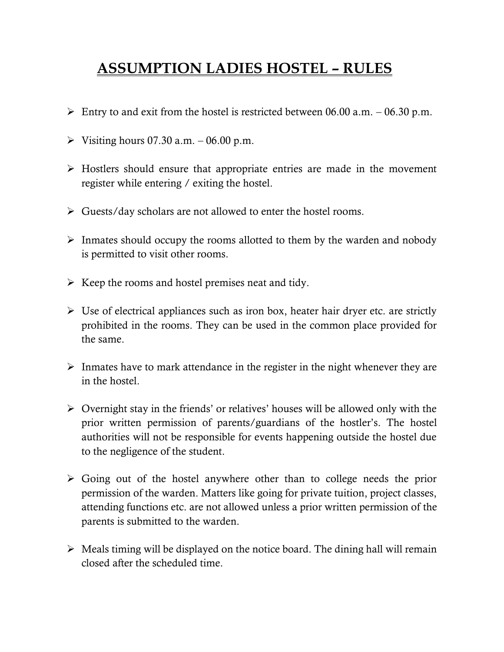## **ASSUMPTION LADIES HOSTEL – RULES**

- $\triangleright$  Entry to and exit from the hostel is restricted between 06.00 a.m. 06.30 p.m.
- $\triangleright$  Visiting hours 07.30 a.m.  $-$  06.00 p.m.
- ➢ Hostlers should ensure that appropriate entries are made in the movement register while entering / exiting the hostel.
- ➢ Guests/day scholars are not allowed to enter the hostel rooms.
- ➢ Inmates should occupy the rooms allotted to them by the warden and nobody is permitted to visit other rooms.
- $\triangleright$  Keep the rooms and hostel premises neat and tidy.
- ➢ Use of electrical appliances such as iron box, heater hair dryer etc. are strictly prohibited in the rooms. They can be used in the common place provided for the same.
- $\triangleright$  Inmates have to mark attendance in the register in the night whenever they are in the hostel.
- ➢ Overnight stay in the friends' or relatives' houses will be allowed only with the prior written permission of parents/guardians of the hostler's. The hostel authorities will not be responsible for events happening outside the hostel due to the negligence of the student.
- ➢ Going out of the hostel anywhere other than to college needs the prior permission of the warden. Matters like going for private tuition, project classes, attending functions etc. are not allowed unless a prior written permission of the parents is submitted to the warden.
- $\triangleright$  Meals timing will be displayed on the notice board. The dining hall will remain closed after the scheduled time.